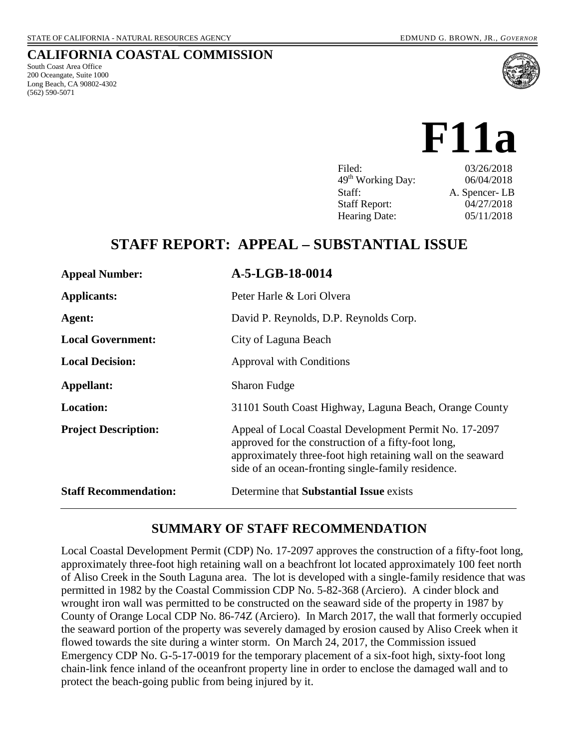South Coast Area Office 200 Oceangate, Suite 1000 Long Beach, CA 90802-4302

(562) 590-5071

**CALIFORNIA COASTAL COMMISSION**

# **F11a**

| 03/26/2018<br>Filed:                        |  |
|---------------------------------------------|--|
| 49 <sup>th</sup> Working Day:<br>06/04/2018 |  |
| A. Spencer-LB<br>Staff:                     |  |
| 04/27/2018<br><b>Staff Report:</b>          |  |
| 05/11/2018<br><b>Hearing Date:</b>          |  |

# **STAFF REPORT: APPEAL – SUBSTANTIAL ISSUE**

| <b>Appeal Number:</b>        | A-5-LGB-18-0014                                                                                                                                                                                                                    |
|------------------------------|------------------------------------------------------------------------------------------------------------------------------------------------------------------------------------------------------------------------------------|
| <b>Applicants:</b>           | Peter Harle & Lori Olvera                                                                                                                                                                                                          |
| Agent:                       | David P. Reynolds, D.P. Reynolds Corp.                                                                                                                                                                                             |
| <b>Local Government:</b>     | City of Laguna Beach                                                                                                                                                                                                               |
| <b>Local Decision:</b>       | <b>Approval with Conditions</b>                                                                                                                                                                                                    |
| Appellant:                   | <b>Sharon Fudge</b>                                                                                                                                                                                                                |
| <b>Location:</b>             | 31101 South Coast Highway, Laguna Beach, Orange County                                                                                                                                                                             |
| <b>Project Description:</b>  | Appeal of Local Coastal Development Permit No. 17-2097<br>approved for the construction of a fifty-foot long,<br>approximately three-foot high retaining wall on the seaward<br>side of an ocean-fronting single-family residence. |
| <b>Staff Recommendation:</b> | Determine that <b>Substantial Issue</b> exists                                                                                                                                                                                     |

### **SUMMARY OF STAFF RECOMMENDATION**

Local Coastal Development Permit (CDP) No. 17-2097 approves the construction of a fifty-foot long, approximately three-foot high retaining wall on a beachfront lot located approximately 100 feet north of Aliso Creek in the South Laguna area. The lot is developed with a single-family residence that was permitted in 1982 by the Coastal Commission CDP No. 5-82-368 (Arciero). A cinder block and wrought iron wall was permitted to be constructed on the seaward side of the property in 1987 by County of Orange Local CDP No. 86-74Z (Arciero). In March 2017, the wall that formerly occupied the seaward portion of the property was severely damaged by erosion caused by Aliso Creek when it flowed towards the site during a winter storm. On March 24, 2017, the Commission issued Emergency CDP No. G-5-17-0019 for the temporary placement of a six-foot high, sixty-foot long chain-link fence inland of the oceanfront property line in order to enclose the damaged wall and to protect the beach-going public from being injured by it.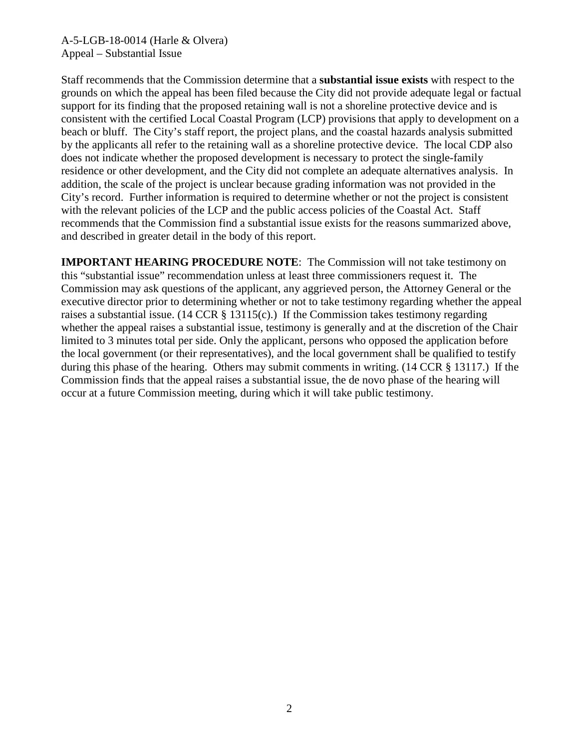Staff recommends that the Commission determine that a **substantial issue exists** with respect to the grounds on which the appeal has been filed because the City did not provide adequate legal or factual support for its finding that the proposed retaining wall is not a shoreline protective device and is consistent with the certified Local Coastal Program (LCP) provisions that apply to development on a beach or bluff. The City's staff report, the project plans, and the coastal hazards analysis submitted by the applicants all refer to the retaining wall as a shoreline protective device. The local CDP also does not indicate whether the proposed development is necessary to protect the single-family residence or other development, and the City did not complete an adequate alternatives analysis. In addition, the scale of the project is unclear because grading information was not provided in the City's record. Further information is required to determine whether or not the project is consistent with the relevant policies of the LCP and the public access policies of the Coastal Act. Staff recommends that the Commission find a substantial issue exists for the reasons summarized above, and described in greater detail in the body of this report.

**IMPORTANT HEARING PROCEDURE NOTE**: The Commission will not take testimony on this "substantial issue" recommendation unless at least three commissioners request it. The Commission may ask questions of the applicant, any aggrieved person, the Attorney General or the executive director prior to determining whether or not to take testimony regarding whether the appeal raises a substantial issue.  $(14 \text{ CCR } \S 13115(c))$  If the Commission takes testimony regarding whether the appeal raises a substantial issue, testimony is generally and at the discretion of the Chair limited to 3 minutes total per side. Only the applicant, persons who opposed the application before the local government (or their representatives), and the local government shall be qualified to testify during this phase of the hearing. Others may submit comments in writing. (14 CCR § 13117.) If the Commission finds that the appeal raises a substantial issue, the de novo phase of the hearing will occur at a future Commission meeting, during which it will take public testimony.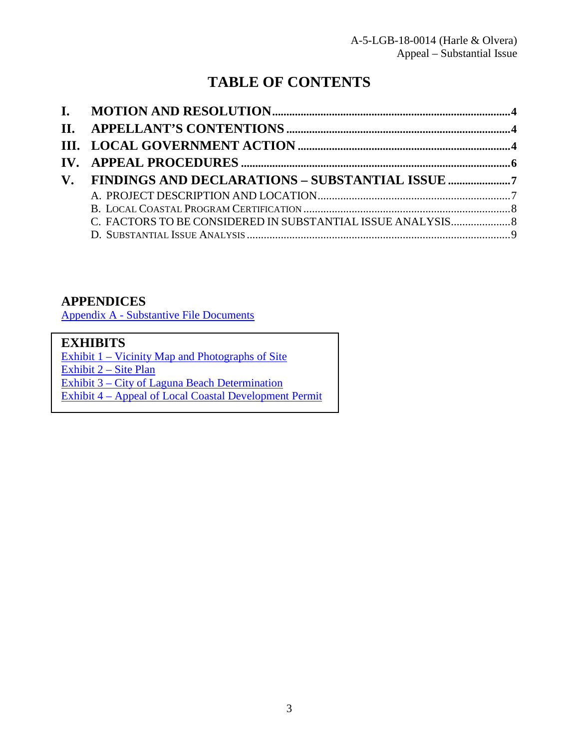# **TABLE OF CONTENTS**

| V. FINDINGS AND DECLARATIONS - SUBSTANTIAL ISSUE |  |
|--------------------------------------------------|--|
|                                                  |  |
|                                                  |  |
|                                                  |  |
|                                                  |  |
|                                                  |  |

# **APPENDICES**

Appendix A - Substantive File Documents

# **EXHIBITS**

Exhibit 1 – Vicinity Map and Photographs of Site Exhibit 2 – Site Plan Exhibit 3 – City of Laguna Beach Determination [Exhibit 4 – Appeal of Local Coastal Development Permit](https://documents.coastal.ca.gov/reports/2018/5/F11a/F11a-5-2018-exhibits.pdf)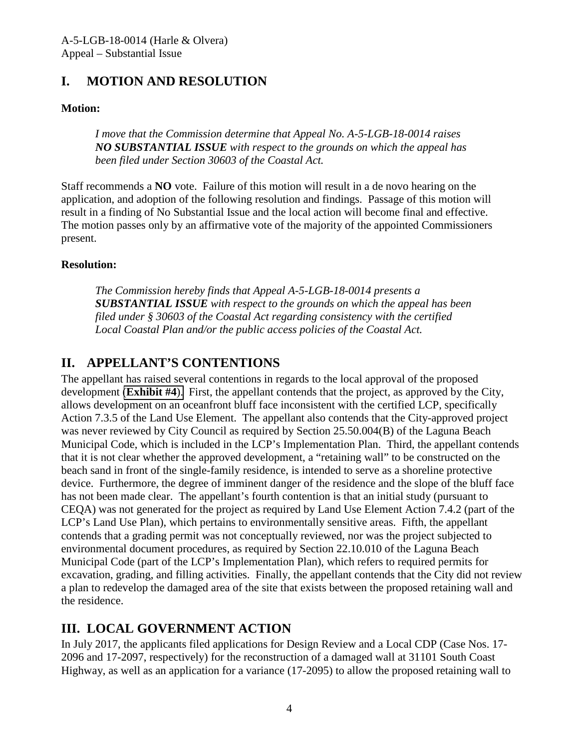# <span id="page-3-0"></span>**I. MOTION AND RESOLUTION**

### **Motion:**

*I move that the Commission determine that Appeal No. A-5-LGB-18-0014 raises NO SUBSTANTIAL ISSUE with respect to the grounds on which the appeal has been filed under Section 30603 of the Coastal Act.* 

Staff recommends a **NO** vote. Failure of this motion will result in a de novo hearing on the application, and adoption of the following resolution and findings. Passage of this motion will result in a finding of No Substantial Issue and the local action will become final and effective. The motion passes only by an affirmative vote of the majority of the appointed Commissioners present.

#### **Resolution:**

*The Commission hereby finds that Appeal A-5-LGB-18-0014 presents a SUBSTANTIAL ISSUE with respect to the grounds on which the appeal has been filed under § 30603 of the Coastal Act regarding consistency with the certified Local Coastal Plan and/or the public access policies of the Coastal Act.* 

# <span id="page-3-1"></span>**II. APPELLANT'S CONTENTIONS**

The appellant has raised several contentions in regards to the local approval of the proposed development (**[Exhibit #4](https://documents.coastal.ca.gov/reports/2018/5/F11a/F11a-5-2018-exhibits.pdf)**). First, the appellant contends that the project, as approved by the City, allows development on an oceanfront bluff face inconsistent with the certified LCP, specifically Action 7.3.5 of the Land Use Element. The appellant also contends that the City-approved project was never reviewed by City Council as required by Section 25.50.004(B) of the Laguna Beach Municipal Code, which is included in the LCP's Implementation Plan. Third, the appellant contends that it is not clear whether the approved development, a "retaining wall" to be constructed on the beach sand in front of the single-family residence, is intended to serve as a shoreline protective device. Furthermore, the degree of imminent danger of the residence and the slope of the bluff face has not been made clear. The appellant's fourth contention is that an initial study (pursuant to CEQA) was not generated for the project as required by Land Use Element Action 7.4.2 (part of the LCP's Land Use Plan), which pertains to environmentally sensitive areas. Fifth, the appellant contends that a grading permit was not conceptually reviewed, nor was the project subjected to environmental document procedures, as required by Section 22.10.010 of the Laguna Beach Municipal Code (part of the LCP's Implementation Plan), which refers to required permits for excavation, grading, and filling activities. Finally, the appellant contends that the City did not review a plan to redevelop the damaged area of the site that exists between the proposed retaining wall and the residence.

# <span id="page-3-2"></span>**III. LOCAL GOVERNMENT ACTION**

In July 2017, the applicants filed applications for Design Review and a Local CDP (Case Nos. 17- 2096 and 17-2097, respectively) for the reconstruction of a damaged wall at 31101 South Coast Highway, as well as an application for a variance (17-2095) to allow the proposed retaining wall to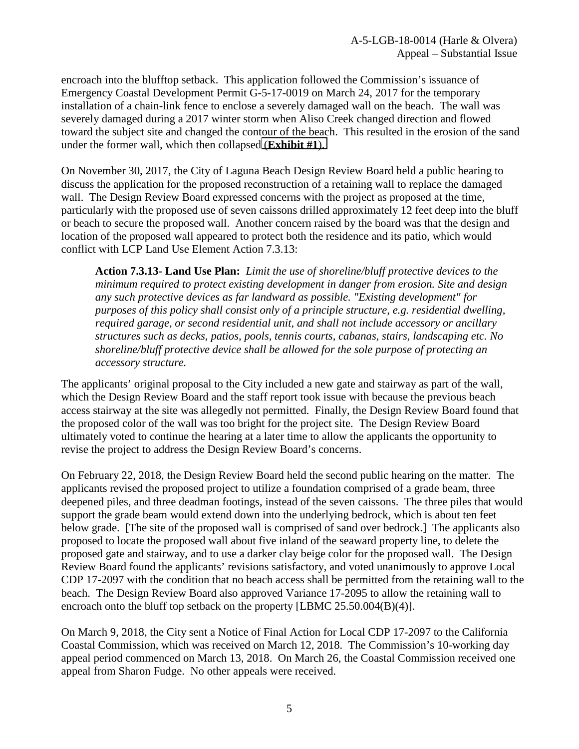encroach into the blufftop setback. This application followed the Commission's issuance of Emergency Coastal Development Permit G-5-17-0019 on March 24, 2017 for the temporary installation of a chain-link fence to enclose a severely damaged wall on the beach. The wall was severely damaged during a 2017 winter storm when Aliso Creek changed direction and flowed toward the subject site and changed the contour of the beach. This resulted in the erosion of the sand under the former wall, which then collapsed (**[Exhibit #1](https://documents.coastal.ca.gov/reports/2018/5/F11a/F11a-5-2018-exhibits.pdf)**).

On November 30, 2017, the City of Laguna Beach Design Review Board held a public hearing to discuss the application for the proposed reconstruction of a retaining wall to replace the damaged wall. The Design Review Board expressed concerns with the project as proposed at the time, particularly with the proposed use of seven caissons drilled approximately 12 feet deep into the bluff or beach to secure the proposed wall. Another concern raised by the board was that the design and location of the proposed wall appeared to protect both the residence and its patio, which would conflict with LCP Land Use Element Action 7.3.13:

**Action 7.3.13- Land Use Plan:** *Limit the use of shoreline/bluff protective devices to the minimum required to protect existing development in danger from erosion. Site and design any such protective devices as far landward as possible. "Existing development" for purposes of this policy shall consist only of a principle structure, e.g. residential dwelling, required garage, or second residential unit, and shall not include accessory or ancillary structures such as decks, patios, pools, tennis courts, cabanas, stairs, landscaping etc. No shoreline/bluff protective device shall be allowed for the sole purpose of protecting an accessory structure.*

The applicants' original proposal to the City included a new gate and stairway as part of the wall, which the Design Review Board and the staff report took issue with because the previous beach access stairway at the site was allegedly not permitted. Finally, the Design Review Board found that the proposed color of the wall was too bright for the project site. The Design Review Board ultimately voted to continue the hearing at a later time to allow the applicants the opportunity to revise the project to address the Design Review Board's concerns.

On February 22, 2018, the Design Review Board held the second public hearing on the matter. The applicants revised the proposed project to utilize a foundation comprised of a grade beam, three deepened piles, and three deadman footings, instead of the seven caissons. The three piles that would support the grade beam would extend down into the underlying bedrock, which is about ten feet below grade. [The site of the proposed wall is comprised of sand over bedrock.] The applicants also proposed to locate the proposed wall about five inland of the seaward property line, to delete the proposed gate and stairway, and to use a darker clay beige color for the proposed wall. The Design Review Board found the applicants' revisions satisfactory, and voted unanimously to approve Local CDP 17-2097 with the condition that no beach access shall be permitted from the retaining wall to the beach. The Design Review Board also approved Variance 17-2095 to allow the retaining wall to encroach onto the bluff top setback on the property [LBMC 25.50.004(B)(4)].

<span id="page-4-0"></span>On March 9, 2018, the City sent a Notice of Final Action for Local CDP 17-2097 to the California Coastal Commission, which was received on March 12, 2018. The Commission's 10-working day appeal period commenced on March 13, 2018. On March 26, the Coastal Commission received one appeal from Sharon Fudge. No other appeals were received.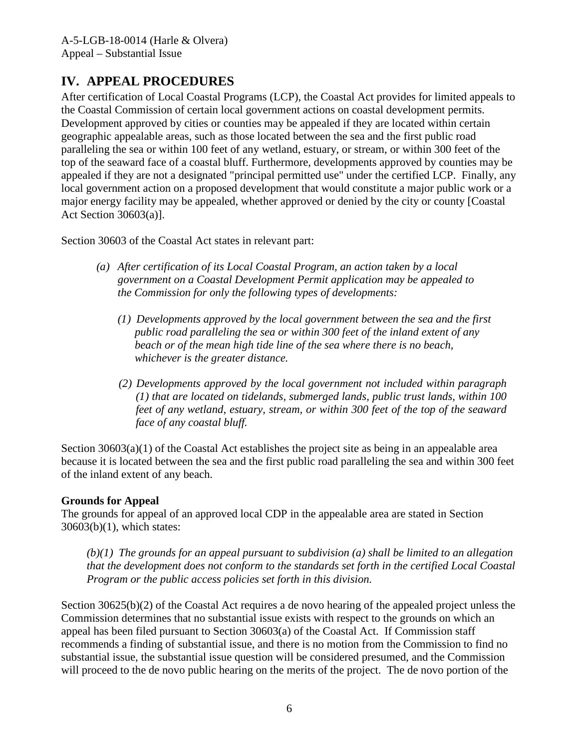# **IV. APPEAL PROCEDURES**

After certification of Local Coastal Programs (LCP), the Coastal Act provides for limited appeals to the Coastal Commission of certain local government actions on coastal development permits. Development approved by cities or counties may be appealed if they are located within certain geographic appealable areas, such as those located between the sea and the first public road paralleling the sea or within 100 feet of any wetland, estuary, or stream, or within 300 feet of the top of the seaward face of a coastal bluff. Furthermore, developments approved by counties may be appealed if they are not a designated "principal permitted use" under the certified LCP. Finally, any local government action on a proposed development that would constitute a major public work or a major energy facility may be appealed, whether approved or denied by the city or county [Coastal Act Section 30603(a)].

Section 30603 of the Coastal Act states in relevant part:

- *(a) After certification of its Local Coastal Program, an action taken by a local government on a Coastal Development Permit application may be appealed to the Commission for only the following types of developments:*
	- *(1) Developments approved by the local government between the sea and the first public road paralleling the sea or within 300 feet of the inland extent of any beach or of the mean high tide line of the sea where there is no beach, whichever is the greater distance.*
	- *(2) Developments approved by the local government not included within paragraph (1) that are located on tidelands, submerged lands, public trust lands, within 100 feet of any wetland, estuary, stream, or within 300 feet of the top of the seaward face of any coastal bluff.*

Section  $30603(a)(1)$  of the Coastal Act establishes the project site as being in an appealable area because it is located between the sea and the first public road paralleling the sea and within 300 feet of the inland extent of any beach.

#### **Grounds for Appeal**

The grounds for appeal of an approved local CDP in the appealable area are stated in Section 30603(b)(1), which states:

*(b)(1) The grounds for an appeal pursuant to subdivision (a) shall be limited to an allegation that the development does not conform to the standards set forth in the certified Local Coastal Program or the public access policies set forth in this division.*

Section 30625(b)(2) of the Coastal Act requires a de novo hearing of the appealed project unless the Commission determines that no substantial issue exists with respect to the grounds on which an appeal has been filed pursuant to Section 30603(a) of the Coastal Act. If Commission staff recommends a finding of substantial issue, and there is no motion from the Commission to find no substantial issue, the substantial issue question will be considered presumed, and the Commission will proceed to the de novo public hearing on the merits of the project. The de novo portion of the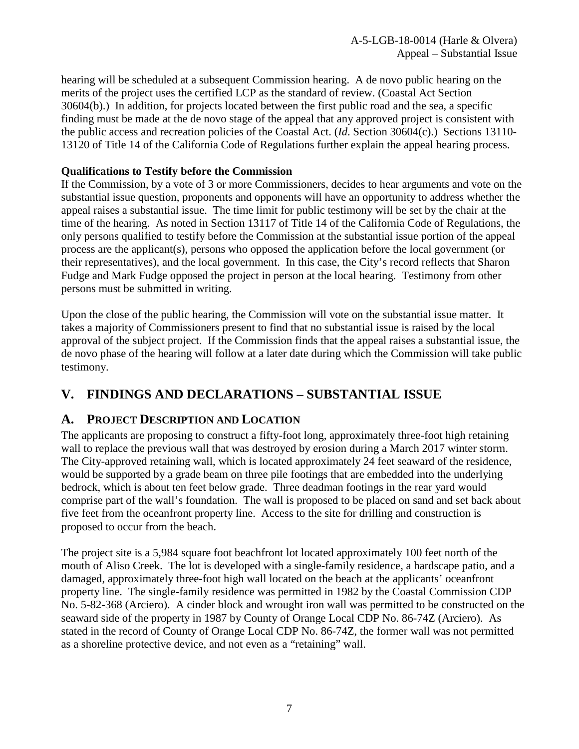hearing will be scheduled at a subsequent Commission hearing. A de novo public hearing on the merits of the project uses the certified LCP as the standard of review. (Coastal Act Section 30604(b).) In addition, for projects located between the first public road and the sea, a specific finding must be made at the de novo stage of the appeal that any approved project is consistent with the public access and recreation policies of the Coastal Act. (*Id*. Section 30604(c).) Sections 13110- 13120 of Title 14 of the California Code of Regulations further explain the appeal hearing process.

#### **Qualifications to Testify before the Commission**

If the Commission, by a vote of 3 or more Commissioners, decides to hear arguments and vote on the substantial issue question, proponents and opponents will have an opportunity to address whether the appeal raises a substantial issue. The time limit for public testimony will be set by the chair at the time of the hearing. As noted in Section 13117 of Title 14 of the California Code of Regulations, the only persons qualified to testify before the Commission at the substantial issue portion of the appeal process are the applicant(s), persons who opposed the application before the local government (or their representatives), and the local government. In this case, the City's record reflects that Sharon Fudge and Mark Fudge opposed the project in person at the local hearing. Testimony from other persons must be submitted in writing.

Upon the close of the public hearing, the Commission will vote on the substantial issue matter. It takes a majority of Commissioners present to find that no substantial issue is raised by the local approval of the subject project. If the Commission finds that the appeal raises a substantial issue, the de novo phase of the hearing will follow at a later date during which the Commission will take public testimony.

# <span id="page-6-0"></span>**V. FINDINGS AND DECLARATIONS – SUBSTANTIAL ISSUE**

# <span id="page-6-1"></span>**A. PROJECT DESCRIPTION AND LOCATION**

The applicants are proposing to construct a fifty-foot long, approximately three-foot high retaining wall to replace the previous wall that was destroyed by erosion during a March 2017 winter storm. The City-approved retaining wall, which is located approximately 24 feet seaward of the residence, would be supported by a grade beam on three pile footings that are embedded into the underlying bedrock, which is about ten feet below grade. Three deadman footings in the rear yard would comprise part of the wall's foundation. The wall is proposed to be placed on sand and set back about five feet from the oceanfront property line. Access to the site for drilling and construction is proposed to occur from the beach.

The project site is a 5,984 square foot beachfront lot located approximately 100 feet north of the mouth of Aliso Creek. The lot is developed with a single-family residence, a hardscape patio, and a damaged, approximately three-foot high wall located on the beach at the applicants' oceanfront property line. The single-family residence was permitted in 1982 by the Coastal Commission CDP No. 5-82-368 (Arciero). A cinder block and wrought iron wall was permitted to be constructed on the seaward side of the property in 1987 by County of Orange Local CDP No. 86-74Z (Arciero). As stated in the record of County of Orange Local CDP No. 86-74Z, the former wall was not permitted as a shoreline protective device, and not even as a "retaining" wall.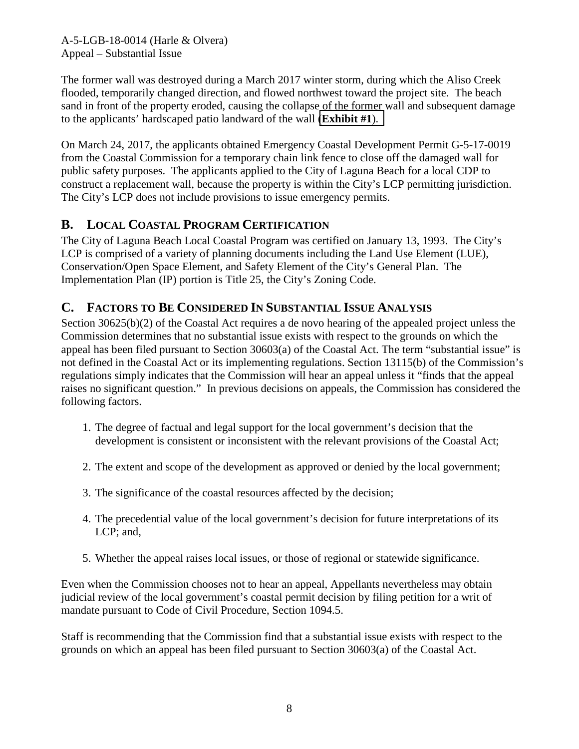The former wall was destroyed during a March 2017 winter storm, during which the Aliso Creek flooded, temporarily changed direction, and flowed northwest toward the project site. The beach sand in front of the property eroded, causing the collapse of the former wall and subsequent damage to the applicants' hardscaped patio landward of the wall (**[Exhibit #1](https://documents.coastal.ca.gov/reports/2018/5/F11a/F11a-5-2018-exhibits.pdf)**).

On March 24, 2017, the applicants obtained Emergency Coastal Development Permit G-5-17-0019 from the Coastal Commission for a temporary chain link fence to close off the damaged wall for public safety purposes. The applicants applied to the City of Laguna Beach for a local CDP to construct a replacement wall, because the property is within the City's LCP permitting jurisdiction. The City's LCP does not include provisions to issue emergency permits.

# <span id="page-7-0"></span>**B. LOCAL COASTAL PROGRAM CERTIFICATION**

The City of Laguna Beach Local Coastal Program was certified on January 13, 1993. The City's LCP is comprised of a variety of planning documents including the Land Use Element (LUE), Conservation/Open Space Element, and Safety Element of the City's General Plan. The Implementation Plan (IP) portion is Title 25, the City's Zoning Code.

# <span id="page-7-1"></span>**C. FACTORS TO BE CONSIDERED IN SUBSTANTIAL ISSUE ANALYSIS**

Section 30625(b)(2) of the Coastal Act requires a de novo hearing of the appealed project unless the Commission determines that no substantial issue exists with respect to the grounds on which the appeal has been filed pursuant to Section 30603(a) of the Coastal Act. The term "substantial issue" is not defined in the Coastal Act or its implementing regulations. Section 13115(b) of the Commission's regulations simply indicates that the Commission will hear an appeal unless it "finds that the appeal raises no significant question." In previous decisions on appeals, the Commission has considered the following factors.

- 1. The degree of factual and legal support for the local government's decision that the development is consistent or inconsistent with the relevant provisions of the Coastal Act;
- 2. The extent and scope of the development as approved or denied by the local government;
- 3. The significance of the coastal resources affected by the decision;
- 4. The precedential value of the local government's decision for future interpretations of its LCP; and,
- 5. Whether the appeal raises local issues, or those of regional or statewide significance.

Even when the Commission chooses not to hear an appeal, Appellants nevertheless may obtain judicial review of the local government's coastal permit decision by filing petition for a writ of mandate pursuant to Code of Civil Procedure, Section 1094.5.

Staff is recommending that the Commission find that a substantial issue exists with respect to the grounds on which an appeal has been filed pursuant to Section 30603(a) of the Coastal Act.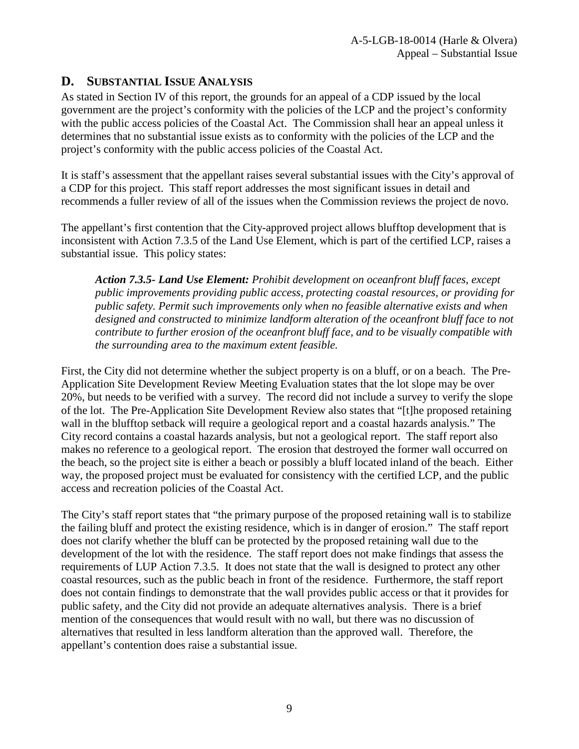# <span id="page-8-0"></span>**D. SUBSTANTIAL ISSUE ANALYSIS**

As stated in Section IV of this report, the grounds for an appeal of a CDP issued by the local government are the project's conformity with the policies of the LCP and the project's conformity with the public access policies of the Coastal Act. The Commission shall hear an appeal unless it determines that no substantial issue exists as to conformity with the policies of the LCP and the project's conformity with the public access policies of the Coastal Act.

It is staff's assessment that the appellant raises several substantial issues with the City's approval of a CDP for this project. This staff report addresses the most significant issues in detail and recommends a fuller review of all of the issues when the Commission reviews the project de novo.

The appellant's first contention that the City-approved project allows blufftop development that is inconsistent with Action 7.3.5 of the Land Use Element, which is part of the certified LCP, raises a substantial issue. This policy states:

*Action 7.3.5- Land Use Element: Prohibit development on oceanfront bluff faces, except public improvements providing public access, protecting coastal resources, or providing for public safety. Permit such improvements only when no feasible alternative exists and when designed and constructed to minimize landform alteration of the oceanfront bluff face to not contribute to further erosion of the oceanfront bluff face, and to be visually compatible with the surrounding area to the maximum extent feasible.* 

First, the City did not determine whether the subject property is on a bluff, or on a beach. The Pre-Application Site Development Review Meeting Evaluation states that the lot slope may be over 20%, but needs to be verified with a survey. The record did not include a survey to verify the slope of the lot. The Pre-Application Site Development Review also states that "[t]he proposed retaining wall in the blufftop setback will require a geological report and a coastal hazards analysis." The City record contains a coastal hazards analysis, but not a geological report. The staff report also makes no reference to a geological report. The erosion that destroyed the former wall occurred on the beach, so the project site is either a beach or possibly a bluff located inland of the beach. Either way, the proposed project must be evaluated for consistency with the certified LCP, and the public access and recreation policies of the Coastal Act.

The City's staff report states that "the primary purpose of the proposed retaining wall is to stabilize the failing bluff and protect the existing residence, which is in danger of erosion." The staff report does not clarify whether the bluff can be protected by the proposed retaining wall due to the development of the lot with the residence. The staff report does not make findings that assess the requirements of LUP Action 7.3.5. It does not state that the wall is designed to protect any other coastal resources, such as the public beach in front of the residence. Furthermore, the staff report does not contain findings to demonstrate that the wall provides public access or that it provides for public safety, and the City did not provide an adequate alternatives analysis. There is a brief mention of the consequences that would result with no wall, but there was no discussion of alternatives that resulted in less landform alteration than the approved wall. Therefore, the appellant's contention does raise a substantial issue.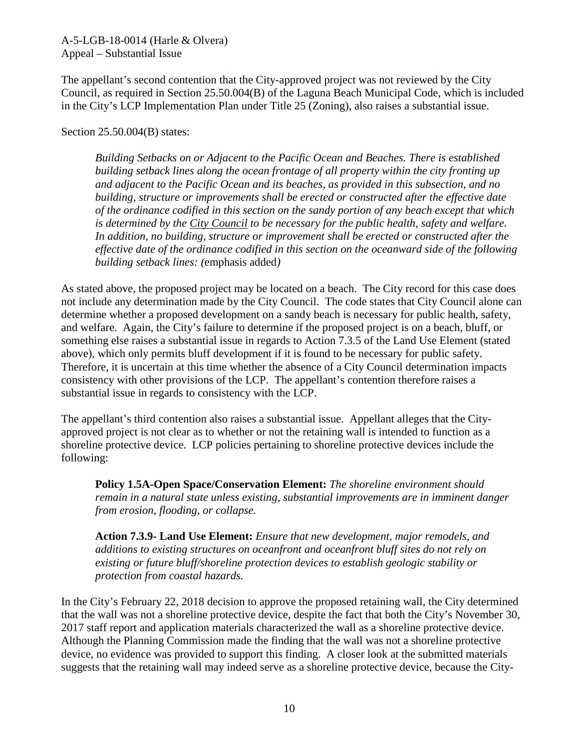The appellant's second contention that the City-approved project was not reviewed by the City Council, as required in Section 25.50.004(B) of the Laguna Beach Municipal Code, which is included in the City's LCP Implementation Plan under Title 25 (Zoning), also raises a substantial issue.

Section 25.50.004(B) states:

*Building Setbacks on or Adjacent to the Pacific Ocean and Beaches. There is established building setback lines along the ocean frontage of all property within the city fronting up and adjacent to the Pacific Ocean and its beaches, as provided in this subsection, and no building, structure or improvements shall be erected or constructed after the effective date of the ordinance codified in this section on the sandy portion of any beach except that which is determined by the City Council to be necessary for the public health, safety and welfare. In addition, no building, structure or improvement shall be erected or constructed after the effective date of the ordinance codified in this section on the oceanward side of the following building setback lines: (*emphasis added*)* 

As stated above, the proposed project may be located on a beach. The City record for this case does not include any determination made by the City Council. The code states that City Council alone can determine whether a proposed development on a sandy beach is necessary for public health, safety, and welfare. Again, the City's failure to determine if the proposed project is on a beach, bluff, or something else raises a substantial issue in regards to Action 7.3.5 of the Land Use Element (stated above), which only permits bluff development if it is found to be necessary for public safety. Therefore, it is uncertain at this time whether the absence of a City Council determination impacts consistency with other provisions of the LCP. The appellant's contention therefore raises a substantial issue in regards to consistency with the LCP.

The appellant's third contention also raises a substantial issue. Appellant alleges that the Cityapproved project is not clear as to whether or not the retaining wall is intended to function as a shoreline protective device. LCP policies pertaining to shoreline protective devices include the following:

**Policy 1.5A-Open Space/Conservation Element:** *The shoreline environment should remain in a natural state unless existing, substantial improvements are in imminent danger from erosion, flooding, or collapse.* 

**Action 7.3.9- Land Use Element:** *Ensure that new development, major remodels, and additions to existing structures on oceanfront and oceanfront bluff sites do not rely on existing or future bluff/shoreline protection devices to establish geologic stability or protection from coastal hazards.* 

In the City's February 22, 2018 decision to approve the proposed retaining wall, the City determined that the wall was not a shoreline protective device, despite the fact that both the City's November 30, 2017 staff report and application materials characterized the wall as a shoreline protective device. Although the Planning Commission made the finding that the wall was not a shoreline protective device, no evidence was provided to support this finding. A closer look at the submitted materials suggests that the retaining wall may indeed serve as a shoreline protective device, because the City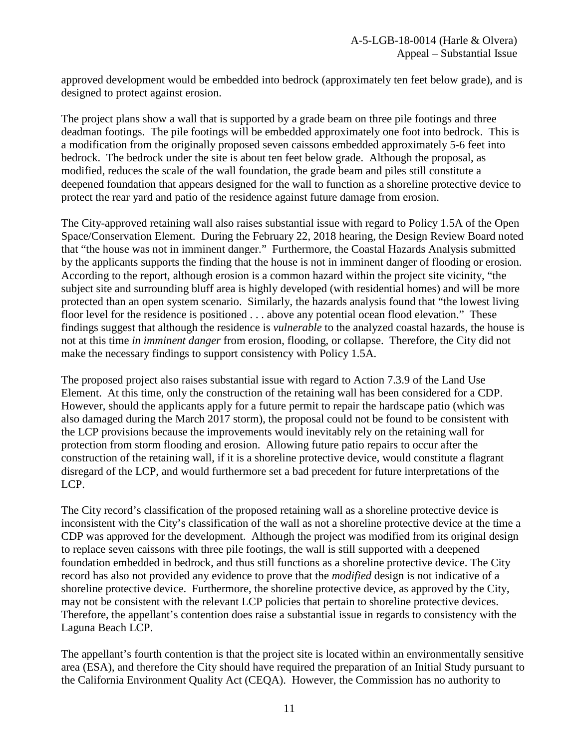approved development would be embedded into bedrock (approximately ten feet below grade), and is designed to protect against erosion.

The project plans show a wall that is supported by a grade beam on three pile footings and three deadman footings. The pile footings will be embedded approximately one foot into bedrock. This is a modification from the originally proposed seven caissons embedded approximately 5-6 feet into bedrock. The bedrock under the site is about ten feet below grade. Although the proposal, as modified, reduces the scale of the wall foundation, the grade beam and piles still constitute a deepened foundation that appears designed for the wall to function as a shoreline protective device to protect the rear yard and patio of the residence against future damage from erosion.

The City-approved retaining wall also raises substantial issue with regard to Policy 1.5A of the Open Space/Conservation Element. During the February 22, 2018 hearing, the Design Review Board noted that "the house was not in imminent danger." Furthermore, the Coastal Hazards Analysis submitted by the applicants supports the finding that the house is not in imminent danger of flooding or erosion. According to the report, although erosion is a common hazard within the project site vicinity, "the subject site and surrounding bluff area is highly developed (with residential homes) and will be more protected than an open system scenario. Similarly, the hazards analysis found that "the lowest living floor level for the residence is positioned . . . above any potential ocean flood elevation." These findings suggest that although the residence is *vulnerable* to the analyzed coastal hazards, the house is not at this time *in imminent danger* from erosion, flooding, or collapse. Therefore, the City did not make the necessary findings to support consistency with Policy 1.5A.

The proposed project also raises substantial issue with regard to Action 7.3.9 of the Land Use Element. At this time, only the construction of the retaining wall has been considered for a CDP. However, should the applicants apply for a future permit to repair the hardscape patio (which was also damaged during the March 2017 storm), the proposal could not be found to be consistent with the LCP provisions because the improvements would inevitably rely on the retaining wall for protection from storm flooding and erosion. Allowing future patio repairs to occur after the construction of the retaining wall, if it is a shoreline protective device, would constitute a flagrant disregard of the LCP, and would furthermore set a bad precedent for future interpretations of the LCP.

The City record's classification of the proposed retaining wall as a shoreline protective device is inconsistent with the City's classification of the wall as not a shoreline protective device at the time a CDP was approved for the development. Although the project was modified from its original design to replace seven caissons with three pile footings, the wall is still supported with a deepened foundation embedded in bedrock, and thus still functions as a shoreline protective device. The City record has also not provided any evidence to prove that the *modified* design is not indicative of a shoreline protective device. Furthermore, the shoreline protective device, as approved by the City, may not be consistent with the relevant LCP policies that pertain to shoreline protective devices. Therefore, the appellant's contention does raise a substantial issue in regards to consistency with the Laguna Beach LCP.

The appellant's fourth contention is that the project site is located within an environmentally sensitive area (ESA), and therefore the City should have required the preparation of an Initial Study pursuant to the California Environment Quality Act (CEQA). However, the Commission has no authority to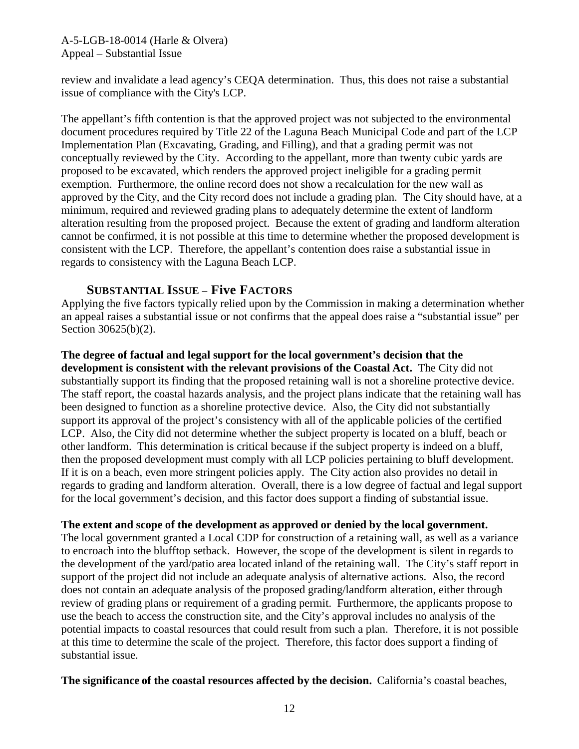review and invalidate a lead agency's CEQA determination. Thus, this does not raise a substantial issue of compliance with the City's LCP.

The appellant's fifth contention is that the approved project was not subjected to the environmental document procedures required by Title 22 of the Laguna Beach Municipal Code and part of the LCP Implementation Plan (Excavating, Grading, and Filling), and that a grading permit was not conceptually reviewed by the City. According to the appellant, more than twenty cubic yards are proposed to be excavated, which renders the approved project ineligible for a grading permit exemption. Furthermore, the online record does not show a recalculation for the new wall as approved by the City, and the City record does not include a grading plan. The City should have, at a minimum, required and reviewed grading plans to adequately determine the extent of landform alteration resulting from the proposed project. Because the extent of grading and landform alteration cannot be confirmed, it is not possible at this time to determine whether the proposed development is consistent with the LCP. Therefore, the appellant's contention does raise a substantial issue in regards to consistency with the Laguna Beach LCP.

#### **SUBSTANTIAL ISSUE – Five FACTORS**

Applying the five factors typically relied upon by the Commission in making a determination whether an appeal raises a substantial issue or not confirms that the appeal does raise a "substantial issue" per Section 30625(b)(2).

**The degree of factual and legal support for the local government's decision that the development is consistent with the relevant provisions of the Coastal Act.** The City did not substantially support its finding that the proposed retaining wall is not a shoreline protective device. The staff report, the coastal hazards analysis, and the project plans indicate that the retaining wall has been designed to function as a shoreline protective device. Also, the City did not substantially support its approval of the project's consistency with all of the applicable policies of the certified LCP. Also, the City did not determine whether the subject property is located on a bluff, beach or other landform. This determination is critical because if the subject property is indeed on a bluff, then the proposed development must comply with all LCP policies pertaining to bluff development. If it is on a beach, even more stringent policies apply. The City action also provides no detail in regards to grading and landform alteration. Overall, there is a low degree of factual and legal support for the local government's decision, and this factor does support a finding of substantial issue.

#### **The extent and scope of the development as approved or denied by the local government.**

The local government granted a Local CDP for construction of a retaining wall, as well as a variance to encroach into the blufftop setback. However, the scope of the development is silent in regards to the development of the yard/patio area located inland of the retaining wall. The City's staff report in support of the project did not include an adequate analysis of alternative actions. Also, the record does not contain an adequate analysis of the proposed grading/landform alteration, either through review of grading plans or requirement of a grading permit. Furthermore, the applicants propose to use the beach to access the construction site, and the City's approval includes no analysis of the potential impacts to coastal resources that could result from such a plan. Therefore, it is not possible at this time to determine the scale of the project. Therefore, this factor does support a finding of substantial issue.

#### **The significance of the coastal resources affected by the decision.** California's coastal beaches,